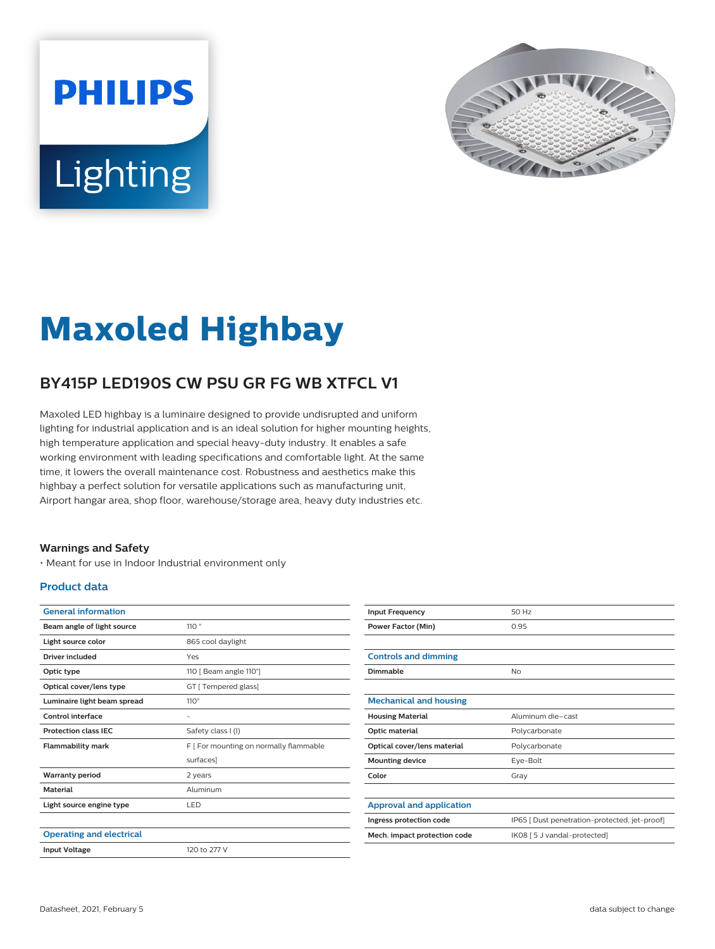



# **Maxoled Highbay**

## **BY415P LED190S CW PSU GR FG WB XTFCL V1**

Maxoled LED highbay is a luminaire designed to provide undisrupted and uniform lighting for industrial application and is an ideal solution for higher mounting heights, high temperature application and special heavy-duty industry. It enables a safe working environment with leading specifications and comfortable light. At the same time, it lowers the overall maintenance cost. Robustness and aesthetics make this highbay a perfect solution for versatile applications such as manufacturing unit, Airport hangar area, shop floor, warehouse/storage area, heavy duty industries etc.

#### **Warnings and Safety**

• Meant for use in Indoor Industrial environment only

#### **Product data**

| <b>General information</b>      |                                        |
|---------------------------------|----------------------------------------|
| Beam angle of light source      | 110°                                   |
| Light source color              | 865 cool daylight                      |
| Driver included                 | Yes                                    |
| Optic type                      | 110 [ Beam angle 110°]                 |
| Optical cover/lens type         | GT [ Tempered glass]                   |
| Luminaire light beam spread     | $110^\circ$                            |
| Control interface               |                                        |
| <b>Protection class IEC</b>     | Safety class I (I)                     |
| <b>Flammability mark</b>        | F   For mounting on normally flammable |
|                                 | surfaces]                              |
| <b>Warranty period</b>          | 2 years                                |
| <b>Material</b>                 | Aluminum                               |
| Light source engine type        | LED                                    |
|                                 |                                        |
| <b>Operating and electrical</b> |                                        |
| <b>Input Voltage</b>            | 120 to 277 V                           |
|                                 |                                        |

| <b>Input Frequency</b>          | 50 Hz                                         |
|---------------------------------|-----------------------------------------------|
| <b>Power Factor (Min)</b>       | 0.95                                          |
|                                 |                                               |
| <b>Controls and dimming</b>     |                                               |
| Dimmable                        | No                                            |
|                                 |                                               |
| <b>Mechanical and housing</b>   |                                               |
| <b>Housing Material</b>         | Aluminum die-cast                             |
| Optic material                  | Polycarbonate                                 |
| Optical cover/lens material     | Polycarbonate                                 |
| <b>Mounting device</b>          | Eye-Bolt                                      |
| Color                           | Gray                                          |
|                                 |                                               |
| <b>Approval and application</b> |                                               |
| Ingress protection code         | IP65   Dust penetration-protected, jet-proof] |
| Mech. impact protection code    | IK08 [ 5 J vandal-protected]                  |
|                                 |                                               |